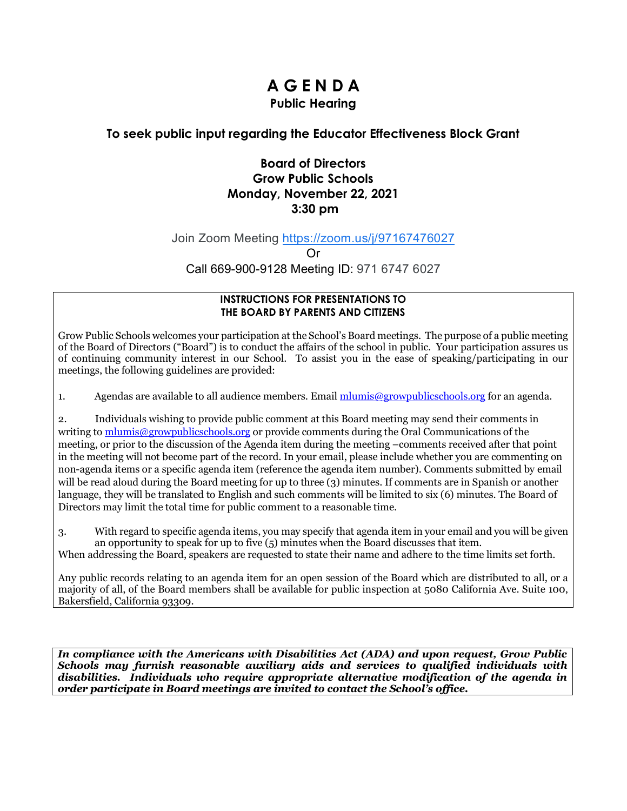# **A G E N D A Public Hearing**

## **To seek public input regarding the Educator Effectiveness Block Grant**

## **Board of Directors Grow Public Schools Monday, November 22, 2021 3:30 pm**

Join Zoom Meeting [https://zoom.us/j/97167476027](https://www.google.com/url?q=https://zoom.us/j/97167476027&sa=D&source=calendar&ust=1637477118240330&usg=AOvVaw3fmGeDZeYgNw2i24S6kSBC)

Or

Call 669-900-9128 Meeting ID: 971 6747 6027

#### **INSTRUCTIONS FOR PRESENTATIONS TO THE BOARD BY PARENTS AND CITIZENS**

Grow Public Schools welcomes your participation at the School's Board meetings. The purpose of a public meeting of the Board of Directors ("Board") is to conduct the affairs of the school in public. Your participation assures us of continuing community interest in our School. To assist you in the ease of speaking/participating in our meetings, the following guidelines are provided:

1. Agendas are available to all audience members. Email  $\frac{m \cdot m}{m}$  egrowpublics chools.org for an agenda.

2. Individuals wishing to provide public comment at this Board meeting may send their comments in writing to [mlumis@growpublicschools.org](mailto:mlumis@growpublicschools.org) or provide comments during the Oral Communications of the meeting, or prior to the discussion of the Agenda item during the meeting –comments received after that point in the meeting will not become part of the record. In your email, please include whether you are commenting on non-agenda items or a specific agenda item (reference the agenda item number). Comments submitted by email will be read aloud during the Board meeting for up to three (3) minutes. If comments are in Spanish or another language, they will be translated to English and such comments will be limited to six (6) minutes. The Board of Directors may limit the total time for public comment to a reasonable time.

3. With regard to specific agenda items, you may specify that agenda item in your email and you will be given an opportunity to speak for up to five (5) minutes when the Board discusses that item. When addressing the Board, speakers are requested to state their name and adhere to the time limits set forth.

Any public records relating to an agenda item for an open session of the Board which are distributed to all, or a majority of all, of the Board members shall be available for public inspection at 5080 California Ave. Suite 100, Bakersfield, California 93309.

*In compliance with the Americans with Disabilities Act (ADA) and upon request, Grow Public Schools may furnish reasonable auxiliary aids and services to qualified individuals with disabilities. Individuals who require appropriate alternative modification of the agenda in order participate in Board meetings are invited to contact the School's office.*